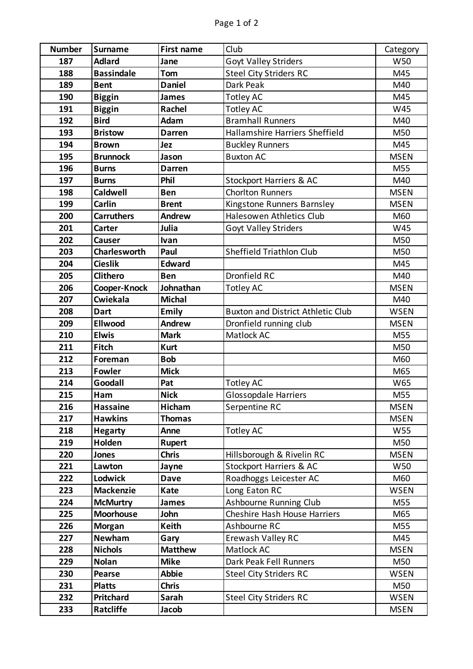| <b>Number</b> | <b>Surname</b>      | <b>First name</b> | Club                                     | Category    |
|---------------|---------------------|-------------------|------------------------------------------|-------------|
| 187           | <b>Adlard</b>       | Jane              | Goyt Valley Striders                     | <b>W50</b>  |
| 188           | <b>Bassindale</b>   | Tom               | <b>Steel City Striders RC</b>            | M45         |
| 189           | <b>Bent</b>         | <b>Daniel</b>     | Dark Peak                                | M40         |
| 190           | <b>Biggin</b>       | <b>James</b>      | <b>Totley AC</b>                         | M45         |
| 191           | <b>Biggin</b>       | Rachel            | <b>Totley AC</b>                         | W45         |
| 192           | <b>Bird</b>         | Adam              | <b>Bramhall Runners</b>                  | M40         |
| 193           | <b>Bristow</b>      | <b>Darren</b>     | Hallamshire Harriers Sheffield           | M50         |
| 194           | <b>Brown</b>        | Jez               | <b>Buckley Runners</b>                   | M45         |
| 195           | <b>Brunnock</b>     | Jason             | <b>Buxton AC</b>                         | <b>MSEN</b> |
| 196           | <b>Burns</b>        | Darren            |                                          | M55         |
| 197           | <b>Burns</b>        | Phil              | <b>Stockport Harriers &amp; AC</b>       | M40         |
| 198           | <b>Caldwell</b>     | <b>Ben</b>        | <b>Chorlton Runners</b>                  | <b>MSEN</b> |
| 199           | Carlin              | <b>Brent</b>      | Kingstone Runners Barnsley               | <b>MSEN</b> |
| 200           | <b>Carruthers</b>   | <b>Andrew</b>     | Halesowen Athletics Club                 | M60         |
| 201           | Carter              | Julia             | Goyt Valley Striders                     | W45         |
| 202           | Causer              | Ivan              |                                          | M50         |
| 203           | <b>Charlesworth</b> | Paul              | <b>Sheffield Triathlon Club</b>          | M50         |
| 204           | <b>Cieslik</b>      | <b>Edward</b>     |                                          | M45         |
| 205           | <b>Clithero</b>     | <b>Ben</b>        | Dronfield RC                             | M40         |
| 206           | Cooper-Knock        | Johnathan         | <b>Totley AC</b>                         | <b>MSEN</b> |
| 207           | Cwiekala            | <b>Michal</b>     |                                          | M40         |
| 208           | <b>Dart</b>         | Emily             | <b>Buxton and District Athletic Club</b> | <b>WSEN</b> |
| 209           | <b>Ellwood</b>      | <b>Andrew</b>     | Dronfield running club                   | <b>MSEN</b> |
| 210           | <b>Elwis</b>        | <b>Mark</b>       | Matlock AC                               | M55         |
| 211           | Fitch               | <b>Kurt</b>       |                                          | M50         |
| 212           | Foreman             | <b>Bob</b>        |                                          | M60         |
| 213           | <b>Fowler</b>       | <b>Mick</b>       |                                          | M65         |
| 214           | Goodall             | Pat               | <b>Totley AC</b>                         | W65         |
| 215           | Ham                 | <b>Nick</b>       | <b>Glossopdale Harriers</b>              | M55         |
| 216           | <b>Hassaine</b>     | Hicham            | Serpentine RC                            | <b>MSEN</b> |
| 217           | <b>Hawkins</b>      | <b>Thomas</b>     |                                          | <b>MSEN</b> |
| 218           | <b>Hegarty</b>      | Anne              | <b>Totley AC</b>                         | W55         |
| 219           | Holden              | <b>Rupert</b>     |                                          | M50         |
| 220           | Jones               | <b>Chris</b>      | Hillsborough & Rivelin RC                | <b>MSEN</b> |
| 221           | Lawton              | Jayne             | Stockport Harriers & AC                  | W50         |
| 222           | Lodwick             | <b>Dave</b>       | Roadhoggs Leicester AC                   | M60         |
| 223           | <b>Mackenzie</b>    | <b>Kate</b>       | Long Eaton RC                            | <b>WSEN</b> |
| 224           | <b>McMurtry</b>     | <b>James</b>      | Ashbourne Running Club                   | M55         |
| 225           | <b>Moorhouse</b>    | John              | <b>Cheshire Hash House Harriers</b>      | M65         |
| 226           | <b>Morgan</b>       | <b>Keith</b>      | Ashbourne RC                             | M55         |
| 227           | <b>Newham</b>       | Gary              | Erewash Valley RC                        | M45         |
| 228           | <b>Nichols</b>      | <b>Matthew</b>    | Matlock AC                               | <b>MSEN</b> |
| 229           | <b>Nolan</b>        | <b>Mike</b>       | Dark Peak Fell Runners                   | M50         |
| 230           | <b>Pearse</b>       | <b>Abbie</b>      | <b>Steel City Striders RC</b>            | <b>WSEN</b> |
| 231           | <b>Platts</b>       | <b>Chris</b>      |                                          | M50         |
| 232           | <b>Pritchard</b>    | Sarah             | <b>Steel City Striders RC</b>            | WSEN        |
| 233           | <b>Ratcliffe</b>    | Jacob             |                                          | <b>MSEN</b> |